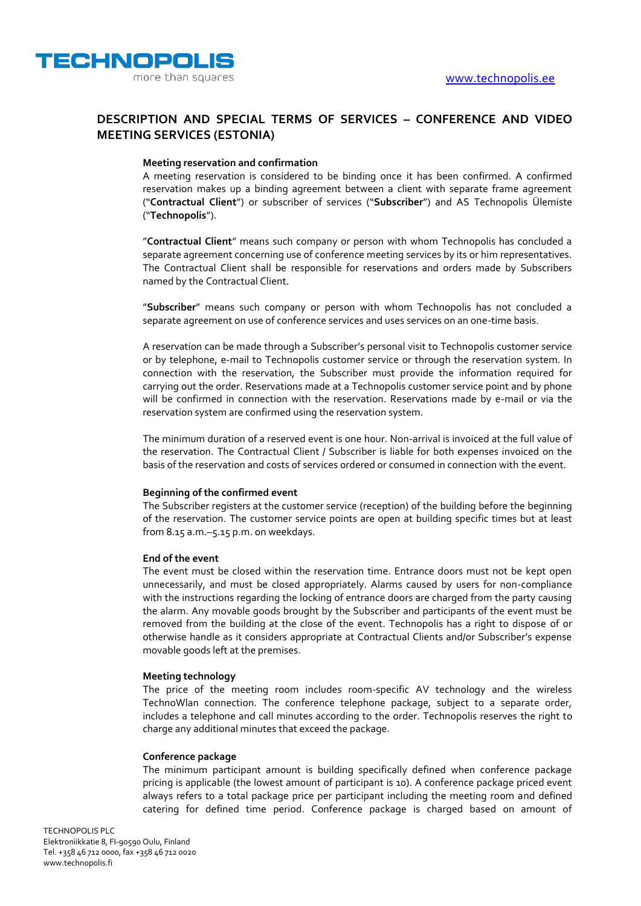

## **DESCRIPTION AND SPECIAL TERMS OF SERVICES – CONFERENCE AND VIDEO MEETING SERVICES (ESTONIA)**

### **Meeting reservation and confirmation**

A meeting reservation is considered to be binding once it has been confirmed. A confirmed reservation makes up a binding agreement between a client with separate frame agreement ("**Contractual Client**") or subscriber of services ("**Subscriber**") and AS Technopolis Ülemiste ("**Technopolis**").

"**Contractual Client**" means such company or person with whom Technopolis has concluded a separate agreement concerning use of conference meeting services by its or him representatives. The Contractual Client shall be responsible for reservations and orders made by Subscribers named by the Contractual Client.

"**Subscriber**" means such company or person with whom Technopolis has not concluded a separate agreement on use of conference services and uses services on an one-time basis.

A reservation can be made through a Subscriber's personal visit to Technopolis customer service or by telephone, e-mail to Technopolis customer service or through the reservation system. In connection with the reservation, the Subscriber must provide the information required for carrying out the order. Reservations made at a Technopolis customer service point and by phone will be confirmed in connection with the reservation. Reservations made by e-mail or via the reservation system are confirmed using the reservation system.

The minimum duration of a reserved event is one hour. Non-arrival is invoiced at the full value of the reservation. The Contractual Client / Subscriber is liable for both expenses invoiced on the basis of the reservation and costs of services ordered or consumed in connection with the event.

## **Beginning of the confirmed event**

The Subscriber registers at the customer service (reception) of the building before the beginning of the reservation. The customer service points are open at building specific times but at least from 8.15 a.m.–5.15 p.m. on weekdays.

### **End of the event**

The event must be closed within the reservation time. Entrance doors must not be kept open unnecessarily, and must be closed appropriately. Alarms caused by users for non-compliance with the instructions regarding the locking of entrance doors are charged from the party causing the alarm. Any movable goods brought by the Subscriber and participants of the event must be removed from the building at the close of the event. Technopolis has a right to dispose of or otherwise handle as it considers appropriate at Contractual Clients and/or Subscriber's expense movable goods left at the premises.

#### **Meeting technology**

The price of the meeting room includes room-specific AV technology and the wireless TechnoWlan connection. The conference telephone package, subject to a separate order, includes a telephone and call minutes according to the order. Technopolis reserves the right to charge any additional minutes that exceed the package.

#### **Conference package**

The minimum participant amount is building specifically defined when conference package pricing is applicable (the lowest amount of participant is 10). A conference package priced event always refers to a total package price per participant including the meeting room and defined catering for defined time period. Conference package is charged based on amount of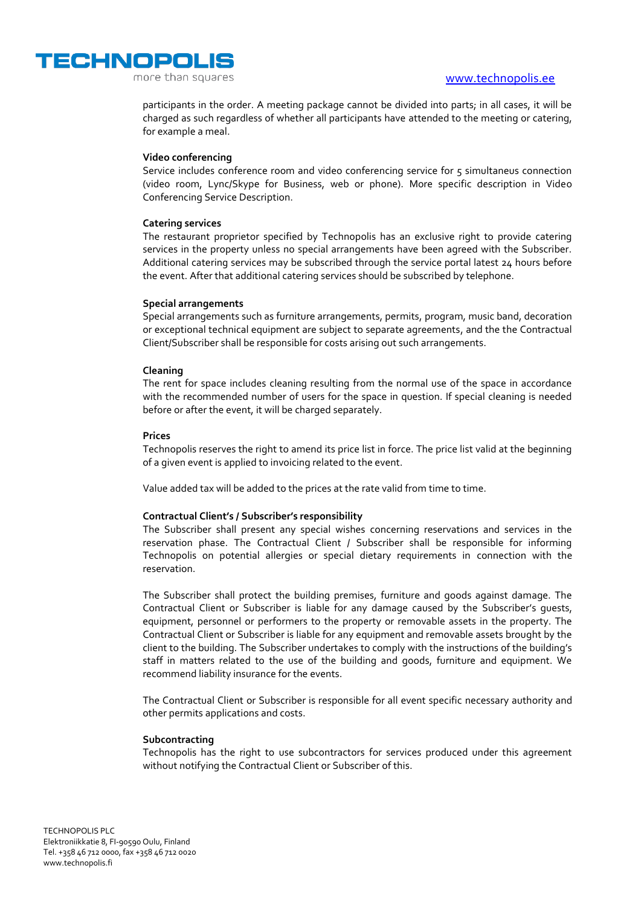



more than squares

participants in the order. A meeting package cannot be divided into parts; in all cases, it will be charged as such regardless of whether all participants have attended to the meeting or catering, for example a meal.

## **Video conferencing**

Service includes conference room and video conferencing service for 5 simultaneus connection (video room, Lync/Skype for Business, web or phone). More specific description in Video Conferencing Service Description.

## **Catering services**

The restaurant proprietor specified by Technopolis has an exclusive right to provide catering services in the property unless no special arrangements have been agreed with the Subscriber. Additional catering services may be subscribed through the service portal latest 24 hours before the event. After that additional catering services should be subscribed by telephone.

## **Special arrangements**

Special arrangements such as furniture arrangements, permits, program, music band, decoration or exceptional technical equipment are subject to separate agreements, and the the Contractual Client/Subscriber shall be responsible for costs arising out such arrangements.

## **Cleaning**

The rent for space includes cleaning resulting from the normal use of the space in accordance with the recommended number of users for the space in question. If special cleaning is needed before or after the event, it will be charged separately.

## **Prices**

Technopolis reserves the right to amend its price list in force. The price list valid at the beginning of a given event is applied to invoicing related to the event.

Value added tax will be added to the prices at the rate valid from time to time.

## **Contractual Client's / Subscriber's responsibility**

The Subscriber shall present any special wishes concerning reservations and services in the reservation phase. The Contractual Client / Subscriber shall be responsible for informing Technopolis on potential allergies or special dietary requirements in connection with the reservation.

The Subscriber shall protect the building premises, furniture and goods against damage. The Contractual Client or Subscriber is liable for any damage caused by the Subscriber's guests, equipment, personnel or performers to the property or removable assets in the property. The Contractual Client or Subscriber is liable for any equipment and removable assets brought by the client to the building. The Subscriber undertakes to comply with the instructions of the building's staff in matters related to the use of the building and goods, furniture and equipment. We recommend liability insurance for the events.

The Contractual Client or Subscriber is responsible for all event specific necessary authority and other permits applications and costs.

## **Subcontracting**

Technopolis has the right to use subcontractors for services produced under this agreement without notifying the Contractual Client or Subscriber of this.